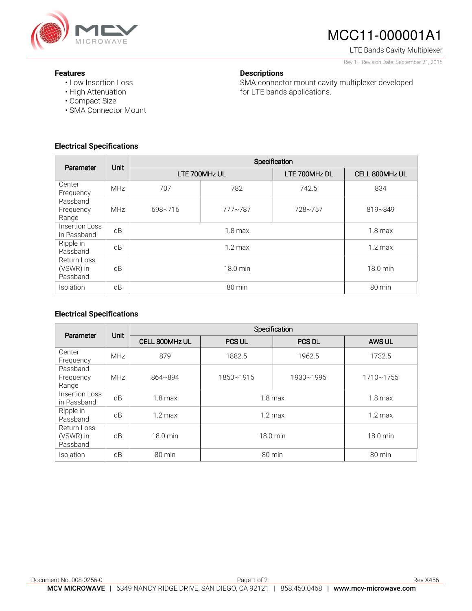

# MCC11-000001A1

LTE Bands Cavity Multiplexer Rev 1– Revision Date: September 21, 2015

#### **Features**

- Low Insertion Loss
- High Attenuation
- Compact Size
- SMA Connector Mount

### **Electrical Specifications**

| Parameter                            | Unit       | Specification                          |         |               |                |
|--------------------------------------|------------|----------------------------------------|---------|---------------|----------------|
|                                      |            | LTE 700MHz UL                          |         | LTE 700MHz DL | CELL 800MHz UL |
| Center<br>Frequency                  | <b>MHz</b> | 707                                    | 782     | 742.5         | 834            |
| Passband<br>Frequency<br>Range       | <b>MHz</b> | $698 - 716$                            | 777~787 | 728~757       | 819~849        |
| Insertion Loss<br>in Passband        | dB         | $1.8 \text{ max}$                      |         |               | $1.8$ max      |
| Ripple in<br>Passband                | dB         | $1.2 \text{ max}$<br>$1.2 \text{ max}$ |         |               |                |
| Return Loss<br>(VSWR) in<br>Passband | dB         | 18.0 min<br>18.0 min                   |         |               |                |
| Isolation                            | dB         | 80 min<br>80 min                       |         |               |                |

**Descriptions** 

for LTE bands applications.

SMA connector mount cavity multiplexer developed

### **Electrical Specifications**

| Parameter                            | Unit       | Specification      |                   |               |                   |
|--------------------------------------|------------|--------------------|-------------------|---------------|-------------------|
|                                      |            | CELL 800MHz UL     | <b>PCS UL</b>     | <b>PCS DL</b> | AWS UL            |
| Center<br>Frequency                  | <b>MHz</b> | 879                | 1882.5            | 1962.5        | 1732.5            |
| Passband<br>Frequency<br>Range       | <b>MHz</b> | 864~894            | 1850~1915         | 1930~1995     | 1710~1755         |
| Insertion Loss<br>in Passband        | dB         | $1.8 \text{ max}$  | $1.8 \text{ max}$ |               | $1.8$ max         |
| Ripple in<br>Passband                | dB         | $1.2 \text{ max}$  | $1.2 \text{ max}$ |               | $1.2 \text{ max}$ |
| Return Loss<br>(VSWR) in<br>Passband | dB         | $18.0 \text{ min}$ | 18.0 min          |               | 18.0 min          |
| Isolation                            | dB         | 80 min             | 80 min            |               | 80 min            |